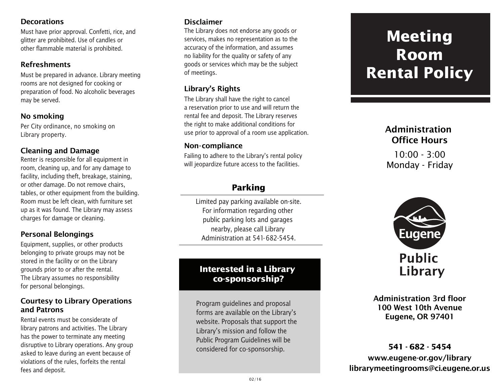#### **Decorations**

Must have prior approval. Confetti, rice, and glitter are prohibited. Use of candles or other flammable material is prohibited.

#### Refreshments

Must be prepared in advance. Library meeting rooms are not designed for cooking or preparation of food. No alcoholic beverages may be served.

#### No smoking

Per City ordinance, no smoking on Library property.

### Cleaning and Damage

Renter is responsible for all equipment in room, cleaning up, and for any damage to facility, including theft, breakage, staining, or other damage. Do not remove chairs, tables, or other equipment from the building. Room must be left clean, with furniture set up as it was found. The Library may assess charges for damage or cleaning.

## Personal Belongings

Equipment, supplies, or other products belonging to private groups may not be stored in the facility or on the Library grounds prior to or after the rental. The Library assumes no responsibility for personal belongings.

#### Courtesy to Library Operations and Patrons

Rental events must be considerate of library patrons and activities. The Library has the power to terminate any meeting disruptive to Library operations. Any group asked to leave during an event because of violations of the rules, forfeits the rental fees and deposit.

## Disclaimer

The Library does not endorse any goods or services, makes no representation as to the accuracy of the information, and assumes no liability for the quality or safety of any goods or services which may be the subject of meetings.

## Library's Rights

The Library shall have the right to cancel a reservation prior to use and will return the rental fee and deposit. The Library reserves the right to make additional conditions for use prior to approval of a room use application.

#### Non-compliance

Failing to adhere to the Library's rental policy will jeopardize future access to the facilities.

# **Parking**

Limited pay parking available on-site. For information regarding other public parking lots and garages nearby, please call Library Administration at 541-682-5454.

# **Interested in a Library co-sponsorship?**

Program guidelines and proposal forms are available on the Library's website. Proposals that support the Library's mission and follow the Public Program Guidelines will be considered for co-sponsorship.

# **Meeting Room Rental Policy**

# Administration Office Hours

 $10:00 - 3:00$ Monday - Friday



Administration 3rd floor 100 West 10th Avenue Eugene, OR 97401

www.eugene-or.gov/library librarymeetingrooms@ci.eugene.or.us **541 - 682 - 5454**